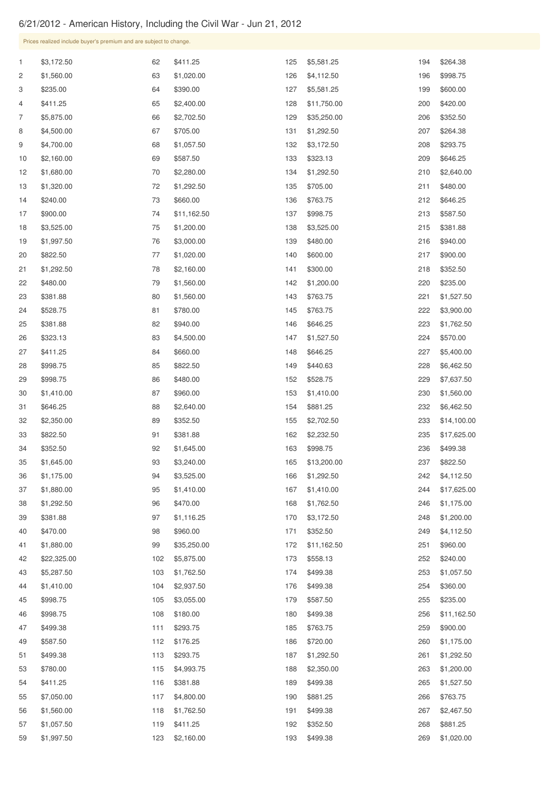## 6/21/2012 - American History, Including the Civil War - Jun 21, 2012

 \$5,287.50 \$1,410.00

Prices realized include buyer's premium and are subject to change. \$3,172.50 \$1,560.00 \$235.00 \$411.25 \$5,875.00 \$4,500.00 \$4,700.00 \$2,160.00 \$1,680.00 \$1,320.00 \$240.00 \$900.00 \$3,525.00 \$1,997.50 \$822.50 \$1,292.50 \$480.00 \$381.88 \$528.75 \$381.88 \$323.13 \$411.25 \$998.75 \$998.75 \$1,410.00 \$646.25 \$2,350.00 \$822.50 \$352.50 \$1,645.00 \$1,175.00 \$1,880.00 \$1,292.50 \$381.88 \$470.00 \$1,880.00 \$22,325.00 \$411.25 \$1,020.00 \$390.00 \$2,400.00 \$2,702.50 \$705.00 \$1,057.50 \$587.50 \$2,280.00 \$1,292.50 \$660.00 \$11,162.50 \$1,200.00 \$3,000.00 \$1,020.00 \$2,160.00 \$1,560.00 \$1,560.00 \$780.00 \$940.00 \$4,500.00 \$660.00 \$822.50 \$480.00 \$960.00 \$2,640.00 \$352.50 \$381.88 \$1,645.00 \$3,240.00 \$3,525.00 \$1,410.00 \$470.00 \$1,116.25 \$960.00 \$35,250.00 \$5,581.25 \$4,112.50 \$5,581.25 \$11,750.00 \$35,250.00 \$1,292.50 \$3,172.50 \$323.13 \$1,292.50 \$705.00 \$763.75 \$998.75 \$3,525.00 \$480.00 \$600.00 \$300.00 \$1,200.00 \$763.75 \$763.75 \$646.25 \$1,527.50 \$646.25 \$440.63 \$528.75 \$1,410.00 \$881.25 \$2,702.50 \$2,232.50 \$998.75 \$13,200.00 \$1,292.50 \$1,410.00 \$1,762.50 \$3,172.50 \$352.50 \$11,162.50 \$264.38 \$998.75 \$600.00 \$420.00 \$352.50 \$264.38 \$293.75 \$646.25 \$2,640.00 \$480.00 \$646.25 \$587.50 \$381.88 \$940.00 \$900.00 \$352.50 \$235.00 \$1,527.50 \$3,900.00 \$1,762.50 \$570.00 \$5,400.00 \$6,462.50 \$7,637.50 \$1,560.00 \$6,462.50 \$14,100.00 \$17,625.00 \$499.38 \$822.50 \$4,112.50 \$17,625.00 \$1,175.00 \$1,200.00 \$4,112.50 \$960.00 \$240.00

| 45 | \$998.75   | 105 | \$3,055.00 | 179 | \$587.50   | 255 | \$235.00    |
|----|------------|-----|------------|-----|------------|-----|-------------|
| 46 | \$998.75   | 108 | \$180.00   | 180 | \$499.38   | 256 | \$11,162.50 |
| 47 | \$499.38   | 111 | \$293.75   | 185 | \$763.75   | 259 | \$900.00    |
| 49 | \$587.50   | 112 | \$176.25   | 186 | \$720.00   | 260 | \$1,175.00  |
| 51 | \$499.38   | 113 | \$293.75   | 187 | \$1,292.50 | 261 | \$1,292.50  |
| 53 | \$780.00   | 115 | \$4,993.75 | 188 | \$2,350.00 | 263 | \$1,200.00  |
| 54 | \$411.25   | 116 | \$381.88   | 189 | \$499.38   | 265 | \$1,527.50  |
| 55 | \$7,050.00 | 117 | \$4,800.00 | 190 | \$881.25   | 266 | \$763.75    |
| 56 | \$1,560.00 | 118 | \$1,762.50 | 191 | \$499.38   | 267 | \$2,467.50  |
| 57 | \$1,057.50 | 119 | \$411.25   | 192 | \$352.50   | 268 | \$881.25    |
| 59 | \$1,997.50 | 123 | \$2,160.00 | 193 | \$499.38   | 269 | \$1,020.00  |

 \$5,875.00 \$1,762.50 \$2,937.50 \$3,055.00 \$558.13 \$499.38 \$499.38 \$587.50 \$1,057.50 \$360.00